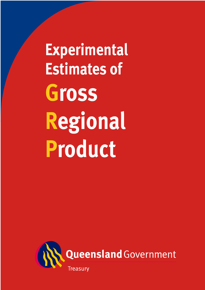**Experimental Estimates of** Gross Regional Product

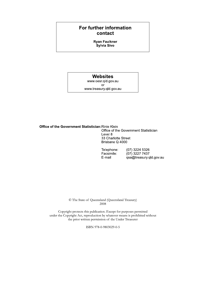# For further information contact

**Ryan Faulkner** Sylvia Sivo

# **Websites**

www.oesr.qld.gov.au or www.treasury.qld.gov.au

**Office of the Government Statistician: Rinie Klein** Office of the Government Statistician Level 8 33 Charlotte Street Brisbane Q 4000

> (07) 3224 5326 Telephone:  $(07)$  3227 7437 Facsimile: E-mail qsa@treasury.qld.gov.au

© The State of Queensland (Queensland Treasury) 2008

Copyright protects this publication. Except for purposes permitted under the Copyright Act, reproduction by whatever means is prohibited without the prior written permission of the Under Treasurer

ISBN 978-0-9803029-0-5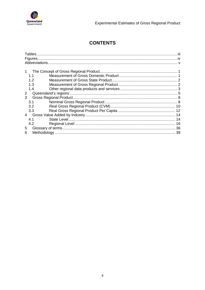

# **CONTENTS**

|                | 1.1 |  |
|----------------|-----|--|
|                | 1.2 |  |
|                | 1.3 |  |
|                | 1.4 |  |
| 2              |     |  |
| 3              |     |  |
|                | 3.1 |  |
|                | 3.2 |  |
|                | 3.3 |  |
| $\overline{4}$ |     |  |
|                | 4.1 |  |
|                | 4.2 |  |
| 5              |     |  |
| 6              |     |  |
|                |     |  |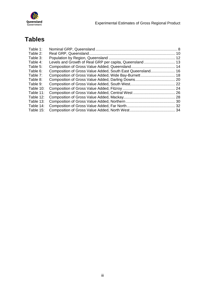<span id="page-3-0"></span>

# **Tables**

| Table 1:  |                                                            |  |
|-----------|------------------------------------------------------------|--|
| Table 2:  |                                                            |  |
| Table 3:  |                                                            |  |
| Table 4:  | Levels and Growth of Real GRP per capita, Queensland 13    |  |
| Table 5:  |                                                            |  |
| Table 6:  | Composition of Gross Value Added, South East Queensland 16 |  |
| Table 7:  |                                                            |  |
| Table 8:  |                                                            |  |
| Table 9:  |                                                            |  |
| Table 10: |                                                            |  |
| Table 11: |                                                            |  |
| Table 12: |                                                            |  |
| Table 13: |                                                            |  |
| Table 14: |                                                            |  |
| Table 15: |                                                            |  |
|           |                                                            |  |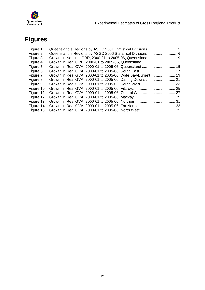<span id="page-4-0"></span>

# **Figures**

| Figure 1:  |                                                             |  |
|------------|-------------------------------------------------------------|--|
| Figure 2:  | Queensland's Regions by ASGC 2006 Statistical Divisions 6   |  |
| Figure 3:  |                                                             |  |
| Figure 4:  | Growth in Real GRP, 2000-01 to 2005-06, Queensland 11       |  |
| Figure 5:  | Growth in Real GVA, 2000-01 to 2005-06, Queensland  15      |  |
| Figure 6:  |                                                             |  |
| Figure 7:  | Growth in Real GVA, 2000-01 to 2005-06, Wide Bay-Burnett 19 |  |
| Figure 8:  | Growth in Real GVA, 2000-01 to 2005-06, Darling Downs  21   |  |
| Figure 9:  |                                                             |  |
| Figure 10: |                                                             |  |
| Figure 11: |                                                             |  |
| Figure 12: |                                                             |  |
|            |                                                             |  |
|            |                                                             |  |
|            |                                                             |  |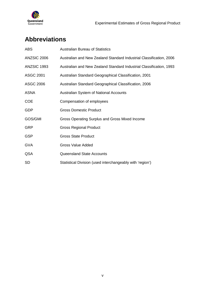<span id="page-5-0"></span>

# **Abbreviations**

| <b>ABS</b>       | <b>Australian Bureau of Statistics</b>                              |
|------------------|---------------------------------------------------------------------|
| ANZSIC 2006      | Australian and New Zealand Standard Industrial Classification, 2006 |
| ANZSIC 1993      | Australian and New Zealand Standard Industrial Classification, 1993 |
| <b>ASGC 2001</b> | Australian Standard Geographical Classification, 2001               |
| ASGC 2006        | Australian Standard Geographical Classification, 2006               |
| <b>ASNA</b>      | Australian System of National Accounts                              |
| <b>COE</b>       | Compensation of employees                                           |
| <b>GDP</b>       | <b>Gross Domestic Product</b>                                       |
| GOS/GMI          | Gross Operating Surplus and Gross Mixed Income                      |
| <b>GRP</b>       | <b>Gross Regional Product</b>                                       |
| <b>GSP</b>       | <b>Gross State Product</b>                                          |
| <b>GVA</b>       | <b>Gross Value Added</b>                                            |
| QSA              | Queensland State Accounts                                           |
| <b>SD</b>        | Statistical Division (used interchangeably with 'region')           |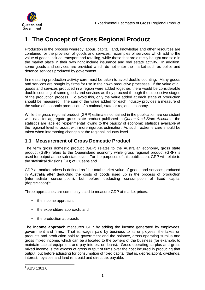<span id="page-6-0"></span>

# **1 The Concept of Gross Regional Product**

Production is the process whereby labour, capital, land, knowledge and other resources are combined for the provision of goods and services. Examples of services which add to the value of goods include transport and retailing, while those that are directly bought and sold in the market place in their own right include insurance and real estate activity. In addition, some goods and services are provided which do not enter the market such as police and defence services produced by government.

In measuring production activity care must be taken to avoid double counting. Many goods and services are bought by firms for use in their own productive processes. If the value of all goods and services produced in a region were added together, there would be considerable double counting of some goods and services as they proceed through the successive stages of the production process. To avoid this, only the value added at each stage of production should be measured. The sum of the value added for each industry provides a measure of the value of economic production of a national, state or regional economy.

While the gross regional product (GRP) estimates contained in the publication are consistent with data for aggregate gross state product published in Queensland State Accounts, the statistics are labelled "experimental" owing to the paucity of economic statistics available at the regional level to assist with more rigorous estimation. As such, extreme care should be taken when interpreting changes at the regional industry level.

# **1.1 Measurement of Gross Domestic Product**

The term gross domestic product (GDP) relates to the Australian economy, gross state product (GSP) refers to the Queensland economy while gross regional product (GRP) is used for output at the sub-state level. For the purposes of this publication, GRP will relate to the statistical divisions (SD) of Queensland.

GDP at market prices is defined as "the total market value of goods and services produced in Australia after deducting the costs of goods used up in the process of production (intermediate consumption), but before deducting consumption of fixed capital (depreciation)"<sup>1</sup> .

Three approaches are commonly used to measure GDP at market prices:

- the income approach;
- the expenditure approach: and
- the production approach.

The **income approach** measures GDP by adding the income generated by employees, government and firms. That is, wages paid by business to its employees, the taxes on products and production paid to government and the balance, gross operating surplus and gross mixed income, which can be allocated to the owners of the business (for example, to maintain capital equipment and pay interest on loans). Gross operating surplus and gross mixed income is the excess of gross output of firms over the cost incurred in producing that output, but before adjusting for consumption of fixed capital (that is, depreciation), dividends, interest, royalties and land rent paid and direct tax payable.

 $\overline{a}$  $1$  ABS 1301.0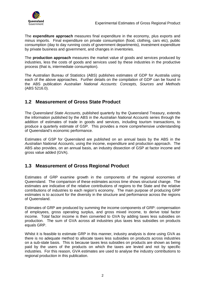<span id="page-7-0"></span>

The **expenditure approach** measures final expenditure in the economy, plus exports and minus imports. Final expenditure on private consumption (food, clothing, cars etc), public consumption (day to day running costs of government departments), investment expenditure by private business and government, and changes in inventories.

The **production approach** measures the market value of goods and services produced by industries, less the costs of goods and services used by these industries in the productive process (that is, intermediate consumption).

The Australian Bureau of Statistics (ABS) publishes estimates of GDP for Australia using each of the above approaches. Further details on the compilation of GDP can be found in the ABS publication Australian National Accounts: Concepts, Sources and Methods (ABS 5216.0).

# **1.2 Measurement of Gross State Product**

The Queensland State Accounts, published quarterly by the Queensland Treasury, extends the information published by the ABS in the Australian National Accounts series through the addition of estimates of trade in goods and services, including tourism transactions, to produce a quarterly estimate of GSP. This provides a more comprehensive understanding of Queensland's economic performance.

Estimates of GSP for Queensland are published on an annual basis by the ABS in the Australian National Accounts, using the income, expenditure and production approach. The ABS also provides, on an annual basis, an industry dissection of GSP at factor income and gross value added (GVA).

# **1.3 Measurement of Gross Regional Product**

Estimates of GRP examine growth in the components of the regional economies of Queensland. The comparison of these estimates across time shows structural change. The estimates are indicative of the relative contributions of regions to the State and the relative contributions of industries to each region's economy. The main purpose of producing GRP estimates is to account for the diversity in the structure and performance across the regions of Queensland.

Estimates of GRP are produced by summing the income components of GRP: compensation of employees, gross operating surplus, and gross mixed income, to derive total factor income. Total factor income is then converted to GVA by adding taxes less subsidies on production. The sum of GVA across all industries plus taxes less subsidies on products equals GRP.

Whilst it is feasible to estimate GRP in this manner, industry analysis is done using GVA as there is no adequate method to allocate taxes less subsidies on products across industries on a sub-state basis. This is because taxes less subsidies on products are shown as being paid by the users of the products on which the taxes are levied and not by specific industries. For this reason, GVA estimates are used to analyse the industry contributions to regional production in this publication.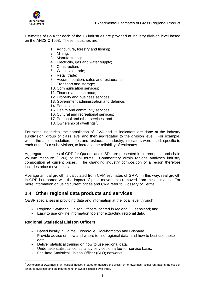<span id="page-8-0"></span>

Estimates of GVA for each of the 18 industries are provided at industry division level based on the ANZSIC 1993. These industries are:

- 1. Agriculture, forestry and fishing;
- 2. Mining;
- 3. Manufacturing;
- 4. Electricity, gas and water supply;
- 5. Construction;
- 6. Wholesale trade;
- 7. Retail trade;
- 8. Accommodation, cafés and restaurants;
- 9. Transport and storage;
- 10. Communication services;
- 11. Finance and insurance;
- 12. Property and business services;
- 13. Government administration and defence;
- 14. Education;
- 15. Health and community services;
- 16. Cultural and recreational services;
- 17. Personal and other services; and
- 18. Ownership of dwellings $2$ .

For some industries, the compilation of GVA and its indicators are done at the industry subdivision, group or class level and then aggregated to the division level. For example, within the accommodation, cafes and restaurants industry, indicators were used, specific to each of the four subdivisions, to increase the reliability of estimates.

Aggregate estimates of GRP for Queensland's SDs are presented in current price and chain volume measure (CVM) or real terms. Commentary within regions analyses industry composition at current prices. The changing industry composition of a region therefore includes price movements.

Average annual growth is calculated from CVM estimates of GRP. In this way, real growth in GRP is reported with the impact of price movements removed from the estimates. For more information on using current prices and CVM refer to Glossary of Terms.

# **1.4 Other regional data products and services**

OESR specialises in providing data and information at the local level through:

- Regional Statistical Liaison Officers located in regional Queensland; and
- Easy to use on-line information tools for extracting regional data.

# **Regional Statistical Liaison Officers**

 $\overline{a}$ 

- Based locally in Cairns, Townsville, Rockhampton and Brisbane.
- Provide advice on how and where to find regional data, and how to best use these data.
- Deliver statistical training on how to use regional data.
- Undertake statistical consultancy services on a fee-for-service basis.<br>- Facilitate Statistical Liaison Officer (SLO) networks.
- Facilitate Statistical Liaison Officer (SLO) networks.

<sup>&</sup>lt;sup>2</sup> Ownership of Dwellings is an artificial industry created to measure the gross rent of dwellings (actual rent paid in the case of tenanted dwellings and an imputed rent for owner-occupied dwellings).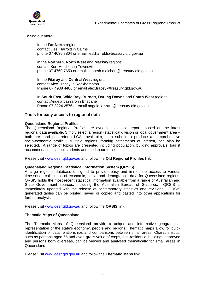

To find out more:

In the **Far North** region contact Liesl Harrold in Cairns phone 07 4039 8804 or email [liesl.harrold@treasury.qld.gov.au](mailto:liesl.harrold@treasury.qld.gov.au) 

## In the **Northern**, **North West** and **Mackay** regions

contact Ken Melchert in Townsville phone 07 4760 7650 or email [kenneth.melchert@treasury.qld.gov.au](mailto:kenneth.melchert@treasury.qld.gov.au)

In the **Fitzroy** and **Central West** regions contact Alex Tracey in Rockhampton Phone 07 4938 4486 or email [alex.tracey@treasury.qld.gov.au](mailto:alex.tracey@treasury.qld.gov.au)

In **South East**, **Wide Bay–Burnett**, **Darling Downs** and **South West** regions contact Angela Lazzaro in Brisbane Phone 07 3224 2576 or email [angela.lazzaro@treasury.qld.gov.au](mailto:angela.lazzaro@treasury.qld.gov.au) 

#### **Tools for easy access to regional data**

#### **Queensland Regional Profiles**

The Queensland Regional Profiles are dynamic statistical reports based on the latest regional data available. Simply select a region (statistical division or local government area – both pre- and post-reform LGAs available), then submit to produce a comprehensive socio-economic profile. Multiple regions, forming catchments of interest, can also be selected. A range of topics are presented including population, building approvals, tourist accommodation, school students and the labour force.

Please visit [www.oesr.qld.gov.au and follow the](http://www.oesr.qld.gov.au/) **Qld Regional Profiles** link.

#### **Queensland Regional Statistical Information System (QRSIS)**

A large regional database designed to provide easy and immediate access to various time-series collections of economic, social and demographic data for Queensland regions. QRSIS holds the most recent statistical information available from a range of Australian and State Government sources, including the Australian Bureau of Statistics. QRSIS is immediately updated with the release of contemporary statistics and revisions. QRSIS generated tables can be printed, saved or copied and pasted into other applications for further analysis.

Please visit [www.oesr.qld.gov.au and follow the](http://www.oesr.qld.gov.au/) **QRSIS** link.

#### **Thematic Maps of Queensland**

The Thematic Maps of Queensland provide a unique and informative geographical representation of the state's economy, people and regions. Thematic maps allow for quick identification of data relationships and comparisons between small areas. Characteristics, such as persons aged 65 and over, gross value of crops, non-residential buildings approved and persons born overseas, can be viewed and analysed thematically for small areas in Queensland.

Please visit [www.oesr.qld.gov.au](http://www.oesr.qld.gov.au/) and follow the **Thematic Maps** link.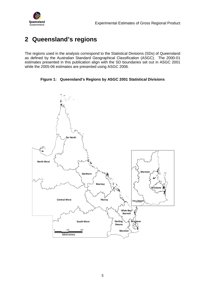<span id="page-10-0"></span>

# **2 Queensland's regions**

The regions used in the analysis correspond to the Statistical Divisions (SDs) of Queensland as defined by the Australian Standard Geographical Classification (ASGC). The 2000-01 estimates presented in this publication align with the SD boundaries set out in ASGC 2001 while the 2005-06 estimates are presented using ASGC 2006.

**Figure 1: Queensland's Regions by ASGC 2001 Statistical Divisions** 

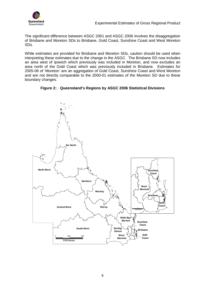<span id="page-11-0"></span>

The significant difference between ASGC 2001 and ASGC 2006 involves the disaggregation of Brisbane and Moreton SDs to Brisbane, Gold Coast, Sunshine Coast and West Moreton SDs.

While estimates are provided for Brisbane and Moreton SDs, caution should be used when interpreting these estimates due to the change in the ASGC. The Brisbane SD now includes an area west of Ipswich which previously was included in Moreton, and now excludes an area north of the Gold Coast which was previously included in Brisbane. Estimates for 2005-06 of 'Moreton' are an aggregation of Gold Coast, Sunshine Coast and West Moreton and are not directly comparable to the 2000-01 estimates of the Moreton SD due to these boundary changes.



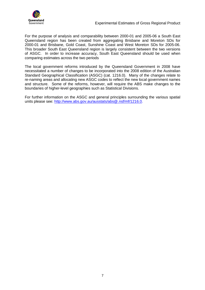

For the purpose of analysis and comparability between 2000-01 and 2005-06 a South East Queensland region has been created from aggregating Brisbane and Moreton SDs for 2000-01 and Brisbane, Gold Coast, Sunshine Coast and West Moreton SDs for 2005-06. This broader South East Queensland region is largely consistent between the two versions of ASGC. In order to increase accuracy, South East Queensland should be used when comparing estimates across the two periods

The local government reforms introduced by the Queensland Government in 2008 have necessitated a number of changes to be incorporated into the 2008 edition of the Australian Standard Geographical Classification (ASGC) (cat. 1216.0). Many of the changes relate to re-naming areas and allocating new ASGC codes to reflect the new local government names and structure. Some of the reforms, however, will require the ABS make changes to the boundaries of higher-level geographies such as Statistical Divisions.

For further information on the ASGC and general principles surrounding the various spatial units please see: [http://www.abs.gov.au/ausstats/abs@.nsf/mf/1216.0.](http://www.abs.gov.au/ausstats/abs@.nsf/mf/1216.0)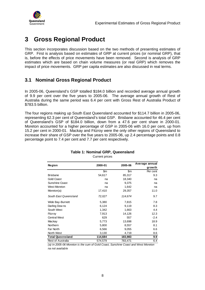<span id="page-13-0"></span>

# **3 Gross Regional Product**

This section incorporates discussion based on the two methods of presenting estimates of GRP. First is analysis based on estimates of GRP at current prices (or nominal GRP), that is, before the effects of price movements have been removed. Second is analysis of GRP estimates which are based on chain volume measures (or real GRP) which removes the impact of price movements. GRP per capita estimates are also discussed in real terms.

# **3.1 Nominal Gross Regional Product**

In 2005-06, Queensland's GSP totalled \$184.0 billion and recorded average annual growth of 9.9 per cent over the five years to 2005-06. The average annual growth of Rest of Australia during the same period was 6.4 per cent with Gross Rest of Australia Product of \$783.5 billion.

The four regions making up South East Queensland accounted for \$114.7 billion in 2005-06, representing 62.3 per cent of Queensland's total GSP. Brisbane accounted for 46.4 per cent of Queensland's GSP of \$184.0 billion, down from a 47.6 per cent share in 2000-01. Moreton accounted for a higher percentage of GSP in 2005-06 with 16.0 per cent, up from 15.2 per cent in 2000-01. Mackay and Fitzroy were the only other regions of Queensland to increase their share of GSP over the five years to 2005-06, up 2.4 percentage points and 0.8 percentage point to 7.4 per cent and 7.7 per cent respectively.

|                          |         |         | Average annual |
|--------------------------|---------|---------|----------------|
| <b>Region</b>            | 2000-01 | 2005-06 | grow th        |
|                          | \$m     | \$m     | Per cent       |
| <b>Brisbane</b>          | 54,617  | 85,317  | 9.3            |
| <b>Gold Coast</b>        | na      | 18,340  | na             |
| <b>Sunshine Coast</b>    | na      | 9,375   | na             |
| <b>West Moreton</b>      | na      | 1,642   | na             |
| Moreton(a)               | 17,410  | 29,357  | 11.0           |
| South East Queensland    | 72,027  | 114,674 | 9.7            |
| Wide Bay-Burnett         | 5,380   | 7,815   | 7.8            |
| Darling Dow ns           | 6,124   | 9,119   | 8.3            |
| South West               | 1,342   | 1,663   | 4.4            |
| Fitzroy                  | 7,913   | 14,126  | 12.3           |
| <b>Central West</b>      | 629     | 557     | $-2.4$         |
| Mackay                   | 5,773   | 13,698  | 18.9           |
| Northern                 | 5,800   | 8,557   | 8.1            |
| Far North                | 6,566   | 9,055   | 6.6            |
| North West               | 3,130   | 4,719   | 8.6            |
| <b>Total Queensland</b>  | 114,684 | 183,983 | 9.9            |
| <b>Rest of Australia</b> | 574,579 | 783,471 | 6.4            |

#### **Table 1: Nominal GRP, Queensland**  Current prices

(a) In 2005-06 Moreton is the sum of Gold Coast, Sunshine Coast and West Moreton na not available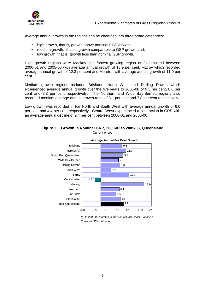<span id="page-14-0"></span>

Average annual growth in the regions can be classified into three broad categories:

- high growth, that is, growth above nominal GSP growth;
- medium growth, that is, growth comparable to GSP growth and;
- low growth, that is, growth less than nominal GSP growth.

High growth regions were Mackay, the fastest growing region of Queensland between 2000-01 and 2005-06 with average annual growth of 18.9 per cent, Fitzroy which recorded average annual growth of 12.3 per cent and Moreton with average annual growth of 11.0 per cent.

Medium growth regions included Brisbane, North West and Darling Downs which experienced average annual growth over the five years to 2005-06 of 9.3 per cent, 8.6 per cent and 8.3 per cent respectively. The Northern and Wide Bay-Burnett regions also recorded medium average annual growth rates of 8.1 per cent and 7.8 per cent respectively.

Low growth was recorded in Far North and South West with average annual growth of 6.6 per cent and 4.4 per cent respectively. Central West experienced a contraction in GRP with an average annual decline of 2.4 per cent between 2000-01 and 2005-06.



**Figure 3: Growth in Nominal GRP, 2000-01 to 2005-06, Queensland**  Current prices

(a) In 2005-06 Moreton is the sum of Gold Coast, Sunshine Coast and West Moreton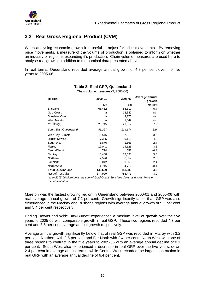<span id="page-15-0"></span>

# **3.2 Real Gross Regional Product (CVM)**

When analysing economic growth it is useful to adjust for price movements. By removing price movements, a measure of the volume of production is obtained to inform on whether an industry or region is expanding it's production. Chain volume measures are used here to analyse real growth in addition to the nominal data presented above.

In real terms, Queensland recorded average annual growth of 4.8 per cent over the five years to 2005-06.

| Chain volume measures (\$, 2005-06) |         |         |                |  |  |  |
|-------------------------------------|---------|---------|----------------|--|--|--|
| Region                              | 2000-01 | 2005-06 | Average annual |  |  |  |
|                                     |         |         | grow th        |  |  |  |
|                                     | \$m     | \$m     | Per cent       |  |  |  |
| <b>Brisbane</b>                     | 65,482  | 85,317  | 5.4            |  |  |  |
| <b>Gold Coast</b>                   | na      | 18,340  | na             |  |  |  |
| Sunshine Coast                      | na      | 9,375   | na             |  |  |  |
| West Moreton                        | na      | 1,642   | na             |  |  |  |
| Moreton(a)                          | 20,745  | 29,357  | 7.2            |  |  |  |
| South East Queensland               | 86,227  | 114,674 | 5.9            |  |  |  |
| Wide Bay-Burnett                    | 6,545   | 7,815   | 3.6            |  |  |  |
| Darling Dow ns                      | 7,385   | 9,119   | 4.3            |  |  |  |
| South West                          | 1,876   | 1,663   | $-2.4$         |  |  |  |
| Fitzrov                             | 12,041  | 14,126  | 3.2            |  |  |  |
| <b>Central West</b>                 | 774     | 557     | $-6.4$         |  |  |  |
| Mackay                              | 10,468  | 13,698  | 5.5            |  |  |  |
| <b>Northern</b>                     | 7,526   | 8,557   | 2.6            |  |  |  |
| Far North                           | 8,042   | 9,055   | 2.4            |  |  |  |
| North West                          | 4,745   | 4,719   | $-0.1$         |  |  |  |
| <b>Total Queensland</b>             | 145,629 | 183,983 | 4.8            |  |  |  |
| Rest of Australia                   | 674,929 | 783,471 | 3.0            |  |  |  |

# **Table 2: Real GRP, Queensland**

(a) In 2005-06 Moreton is the sum of Gold Coast, Sunshine Coast and West Moreton na not available

Moreton was the fastest growing region in Queensland between 2000-01 and 2005-06 with real average annual growth of 7.2 per cent. Growth significantly faster than GSP was also experienced in the Mackay and Brisbane regions with average annual growth of 5.5 per cent and 5.4 per cent respectively.

Darling Downs and Wide Bay-Burnett experienced a medium level of growth over the five years to 2005-06 with comparable growth in real GSP. These two regions recorded 4.3 per cent and 3.6 per cent average annual growth respectively.

Average annual growth significantly below that of real GSP was recorded in Fitzroy with 3.2 per cent, Northern with 2.6 per cent and Far North with 2.4 per cent. North West was one of three regions to contract in the five years to 2005-06 with an average annual decline of 0.1 per cent. South West also experienced a decrease in real GRP over the five years, down 2.4 per cent in average annual terms, while Central West recorded the largest contraction in real GRP with an average annual decline of 6.4 per cent.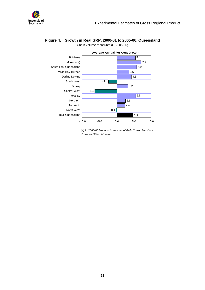<span id="page-16-0"></span>



#### **Figure 4: Growth in Real GRP, 2000-01 to 2005-06, Queensland**  Chain volume measures (\$, 2005-06)

(a) In 2005-06 Moreton is the sum of Gold Coast, Sunshine Coast and West Moreton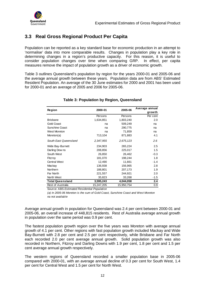<span id="page-17-0"></span>

# **3.3 Real Gross Regional Product Per Capita**

Population can be reported as a key standard base for economic production in an attempt to 'normalise' data into more comparable results. Changes in population play a key role in determining changes in a region's productive capacity. For this reason, it is useful to consider population changes over time when comparing GRP. In effect, per capita measures remove the impact of population growth as a driver of economic growth.

Table 3 outlines Queensland's population by region for the years 2000-01 and 2005-06 and the average annual growth between these years. Population data are from ABS' Estimated Resident Population. An average of the 30 June estimates for 2000 and 2001 has been used for 2000-01 and an average of 2005 and 2006 for 2005-06.

| Region                   | 2000-01    | 2005-06    | Average annual |
|--------------------------|------------|------------|----------------|
|                          |            |            | growth         |
|                          | Persons    | Persons    | Per cent       |
| <b>Brisbane</b>          | 1,634,851  | 1,803,240  | 2.0            |
| <b>Gold Coast</b>        | na         | 509,249    | na             |
| Sunshine Coast           | na         | 290,775    | na             |
| West Moreton             | na         | 71,859     | na             |
| Moreton(a)               | 713,104    | 871,883    | 4.1            |
| South East Queensland    | 2,347,955  | 2,675,123  | 2.6            |
| Wide Bay-Burnett         | 234,903    | 265,224    | 2.5            |
| Darling Downs            | 208,856    | 225,017    | 1.5            |
| South West               | 26,850     | 26,462     | $-0.3$         |
| Fitzroy                  | 181,070    | 198,244    | 1.8            |
| <b>Central West</b>      | 12,490     | 11,661     | $-1.4$         |
| Mackay                   | 136,938    | 156,965    | 2.8            |
| Northern                 | 188,801    | 207,173    | 1.9            |
| Far North                | 221,557    | 244,921    | 2.0            |
| North West               | 35,823     | 33,268     | $-1.5$         |
| <b>Total Queensland</b>  | 3,595,243  | 4,044,058  | 2.4            |
| <b>Rest of Australia</b> | 15,247,205 | 15,950,754 | 0.9            |

#### **Table 3: Population by Region, Queensland**

Source: ABS Estimated Residential Population

(a) In 2005-06 Moreton is the sum of Gold Coast, Sunshine Coast and West Moreton na not available

Average annual growth in population for Queensland was 2.4 per cent between 2000-01 and 2005-06, an overall increase of 448,815 residents. Rest of Australia average annual growth in population over the same period was 0.9 per cent.

The fastest population growth region over the five years was Moreton with average annual growth of 4.1 per cent. Other regions with fast population growth included Mackay and Wide Bay-Burnett with 2.8 per cent and 2.5 per cent respectively, while Brisbane and Far North each recorded 2.0 per cent average annual growth. Solid population growth was also recorded in Northern, Fitzroy and Darling Downs with 1.9 per cent, 1.8 per cent and 1.5 per cent average annual growth respectively.

The western regions of Queensland recorded a smaller population base in 2005-06 compared with 2000-01, with an average annual decline of 0.3 per cent for South West, 1.4 per cent for Central West and 1.5 per cent for North West.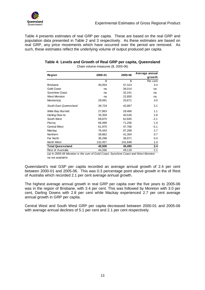<span id="page-18-0"></span>

Table 4 presents estimates of real GRP per capita. These are based on the real GRP and population data presented in Table 2 and 3 respectively. As these estimates are based on real GRP, any price movements which have occurred over the period are removed. As such, these estimates reflect the underlying volume of output produced per capita.

| Table 4: Levels and Growth of Real GRP per capita, Queensland |
|---------------------------------------------------------------|
| Chain volume measures (\$, 2005-06)                           |

| Region                   | 2000-01 | 2005-06 | Average annual |  |
|--------------------------|---------|---------|----------------|--|
|                          |         |         | growth         |  |
|                          | \$      | \$      | Per cent       |  |
| <b>Brisbane</b>          | 40,054  | 47,313  | 3.4            |  |
| Gold Coast               | na      | 36,014  | na             |  |
| Sunshine Coast           | na      | 32,241  | na             |  |
| West Moreton             | na      | 22,850  | na             |  |
| Moreton(a)               | 29,091  | 33,671  | 3.0            |  |
| South East Queensland    | 36,724  | 42,867  | 3.1            |  |
| Wide Bay-Burnett         | 27,863  | 29,466  | 1.1            |  |
| Darling Downs            | 35,359  | 40,526  | 2.8            |  |
| South West               | 69,870  | 62,845  | $-2.1$         |  |
| Fitzroy                  | 66,499  | 71,256  | 1.4            |  |
| <b>Central West</b>      | 61,970  | 47,766  | $-5.1$         |  |
| Mackay                   | 76,443  | 87,268  | 2.7            |  |
| Northern                 | 39,862  | 41,304  | 0.7            |  |
| Far North                | 36,298  | 36,971  | 0.4            |  |
| North West               | 132,457 | 141,848 | 1.4            |  |
| <b>Total Queensland</b>  | 40,506  | 45,495  | 2.4            |  |
| <b>Rest of Australia</b> | 44,266  | 49,118  | 2.1            |  |

(a) In 2005-06 Moreton is the sum of Gold Coast, Sunshine Coast and West Moreton na not available

Queensland's real GSP per capita recorded an average annual growth of 2.4 per cent between 2000-01 and 2005-06. This was 0.3 percentage point above growth in the of Rest of Australia which recorded 2.1 per cent average annual growth.

The highest average annual growth in real GRP per capita over the five years to 2005-06 was in the region of Brisbane, with 3.4 per cent. This was followed by Moreton with 3.0 per cent, Darling Downs with 2.8 per cent while Mackay experienced 2.7 per cent average annual growth in GRP per capita.

Central West and South West GRP per capita decreased between 2000-01 and 2005-06 with average annual declines of 5.1 per cent and 2.1 per cent respectively.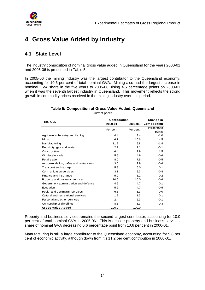<span id="page-19-0"></span>

# **4 Gross Value Added by Industry**

# **4.1 State Level**

The industry composition of nominal gross value added in Queensland for the years 2000-01 and 2005-06 is presented in Table 5.

In 2005-06 the mining industry was the largest contributor to the Queensland economy, accounting for 10.6 per cent of total nominal GVA. Mining also had the largest increase in nominal GVA share in the five years to 2005-06, rising 4.5 percentage points on 2000-01 when it was the seventh largest industry in Queensland. This movement reflects the strong growth in commodity prices received in the mining industry over this period.

### **Table 5: Composition of Gross Value Added, Queensland**

Current prices

| <b>Total QLD</b>                      | Composition | Change in |             |
|---------------------------------------|-------------|-----------|-------------|
|                                       | 2000-01     | 2005-06   | Composition |
|                                       | Per cent    | Per cent  | Percentage  |
|                                       |             |           | points      |
| Agriculture, forestry and fishing     | 4.4         | 3.4       | $-1.0$      |
| Mining                                | 6.1         | 10.6      | 4.5         |
| Manufacturing                         | 11.2        | 9.8       | $-1.4$      |
| Electricity, gas and water            | 2.2         | 2.1       | $-0.1$      |
| Construction                          | 6.4         | 7.9       | 1.5         |
| Wholesale trade                       | 5.5         | 4.9       | $-0.6$      |
| Retail trade                          | 8.0         | 7.5       | $-0.5$      |
| Accommodation, cafes and restaurants  | 3.5         | 2.9       | $-0.6$      |
| Transport and storage                 | 5.9         | 6.0       | 0.1         |
| Communication services                | 3.1         | 2.3       | $-0.8$      |
| Finance and insurance                 | 5.0         | 5.2       | 0.2         |
| Property and business services        | 10.6        | 10.0      | $-0.6$      |
| Government administration and defence | 4.6         | 4.7       | 0.1         |
| Education                             | 5.2         | 4.7       | $-0.5$      |
| Health and community services         | 6.3         | 6.3       | 0.0         |
| Cultural and recreational services    | 1.2         | 1.3       | 0.1         |
| Personal and other services           | 2.4         | 2.3       | $-0.1$      |
| Ow nership of dw ellings              | 8.6         | 8.3       | $-0.3$      |
| <b>Gross Value Added</b>              | 100.0       | 100.0     |             |

Property and business services remains the second largest contributor, accounting for 10.0 per cent of total nominal GVA in 2005-06. This is despite property and business services' share of nominal GVA decreasing 0.6 percentage point from 10.6 per cent in 2000-01.

Manufacturing is still a large contributor to the Queensland economy, accounting for 9.8 per cent of economic activity, although down from it's 11.2 per cent contribution in 2000-01.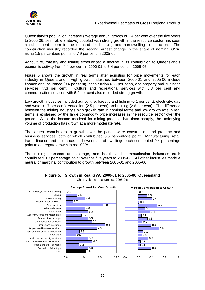<span id="page-20-0"></span>

Queensland's population increase (average annual growth of 2.4 per cent over the five years to 2005-06, see Table 3 above) coupled with strong growth in the resource sector has seen a subsequent boom in the demand for housing and non-dwelling construction. The construction industry recorded the second largest change in the share of nominal GVA, rising 1.5 percentage points to 7.9 per cent in 2005-06.

Agriculture, forestry and fishing experienced a decline in its contribution to Queensland's economic activity from 4.4 per cent in 2000-01 to 3.4 per cent in 2005-06.

Figure 5 shows the growth in real terms after adjusting for price movements for each industry in Queensland. High growth industries between 2000-01 and 2005-06 include finance and insurance (9.4 per cent), construction (8.8 per cent), and property and business services (7.3 per cent). Culture and recreational services with 6.3 per cent and communication services with 6.2 per cent also recorded strong growth.

Low growth industries included agriculture, forestry and fishing (0.1 per cent), electricity, gas and water (1.7 per cent), education (2.5 per cent) and mining (2.6 per cent). The difference between the mining industry's high growth rate in nominal terms and low growth rate in real terms is explained by the large commodity price increases in the resource sector over the period. While the income received for mining products has risen sharply, the underlying volume of production has grown at a more moderate rate.

The largest contributors to growth over the period were construction and property and business services, both of which contributed 0.6 percentage point. Manufacturing, retail trade, finance and insurance, and ownership of dwellings each contributed 0.4 percentage point to aggregate growth in real GVA.

The mining, transport and storage, and health and communication industries each contributed 0.3 percentage point over the five years to 2005-06. All other industries made a neutral or marginal contribution to growth between 2000-01 and 2005-06.



#### **Figure 5: Growth in Real GVA, 2000-01 to 2005-06, Queensland**  Chain volume measures (\$, 2005-06)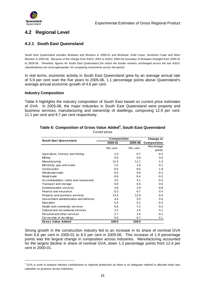<span id="page-21-0"></span>

# **4.2 Regional Level**

# **4.2.1 South East Queensland**

South East Queensland includes Brisbane and Moreton in 2000-01 and Brisbane, Gold Coast, Sunshine Coast and West Moreton in 2005-06. Because of the change from ASGC 2001 to ASGC 2006 the boundary of Brisbane changed from 2000-01 to 2005-06. Therefore, figures for South East Queensland (for which the border remains unchanged across the two ASGC classifications) are most appropriate for comparing movements across the period.

In real terms, economic activity in South East Queensland grew by an average annual rate of 5.9 per cent over the five years to 2005-06, 1.1 percentage points above Queensland's average annual economic growth of 4.8 per cent.

#### **Industry Composition**

 $\overline{a}$ 

Table 6 highlights the industry composition of South East based on current price estimates of GVA. In 2005-06, the major industries in South East Queensland were property and business services, manufacturing and ownership of dwellings, composing 12.9 per cent, 11.1 per cent and 9.7 per cent respectively.

| South East Queensland                 | Composition | Change in |             |
|---------------------------------------|-------------|-----------|-------------|
|                                       | 2000-01     | 2005-06   | Composition |
|                                       | Per cent    | Per cent  | Percentage  |
|                                       |             |           | points      |
| Agriculture, forestry and fishing     | 1.0         | 0.7       | $-0.3$      |
| Mining                                | 0.6         | 0.6       | 0.0         |
| Manufacturing                         | 12.4        | 11.1      | $-1.3$      |
| Electricity, gas and w ater           | 1.5         | 1.6       | 0.1         |
| Construction                          | 6.6         | 8.5       | 1.9         |
| Wholesale trade                       | 6.0         | 5.8       | $-0.2$      |
| Retail trade                          | 8.6         | 8.4       | $-0.2$      |
| Accommodation, cafes and restaurants  | 3.5         | 3.1       | $-0.4$      |
| Transport and storage                 | 6.0         | 6.5       | 0.5         |
| Communication services                | 3.6         | 2.8       | $-0.8$      |
| Finance and insurance                 | 6.3         | 6.7       | 0.4         |
| Property and business services        | 13.3        | 12.9      | $-0.4$      |
| Government administration and defence | 4.6         | 5.0       | 0.4         |
| Education                             | 5.4         | 5.1       | $-0.3$      |
| Health and community services         | 6.8         | 7.2       | 0.4         |
| Cultural and recreational services    | 1.5         | 1.6       | 0.1         |
| Personal and other services           | 2.7         | 2.6       | $-0.1$      |
| Ow nership of dw ellings              | 9.6         | 9.7       | 0.1         |
| <b>Gross Value Added</b>              | 100.0       | 100.0     |             |

#### **Table 6: Composition of Gross Value Added<sup>3</sup> , South East Queensland**  Current prices

Strong growth in the construction industry led to an increase in its share of nominal GVA from 6.6 per cent in 2000-01 to 8.5 per cent in 2005-06. This increase of 1.9 percentage points was the largest change in composition across industries. Manufacturing accounted for the largest decline in share of nominal GVA, down 1.3 percentage points from 12.4 per cent in 2000-01.

<sup>&</sup>lt;sup>3</sup> GVA is used to analyse industry contributions to regional production as there is no adequate method to allocate taxes less subsidies on products across industries.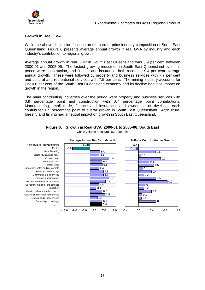<span id="page-22-0"></span>

 $0.5$ 

 $0.5$ 

0.5

0.9

 $\overline{10.3}$  $\overline{0.5}$ 

 $\overline{0.4}$ 

 $0.4$ 

 $\overline{10.7}$ 

## **Growth in Real GVA**

While the above discussion focuses on the current price industry composition of South East Queensland, Figure 6 presents average annual growth in real GVA by industry and each industry's contribution to regional growth.

Average annual growth in real GRP in South East Queensland was 5.9 per cent between 2000-01 and 2005-06. The fastest growing industries in South East Queensland over this period were construction, and finance and insurance, both recording 9.4 per cent average annual growth. These were followed by property and business services with 7.7 per cent and cultural and recreational services with 7.5 per cent. The mining industry accounts for just 0.6 per cent of the South East Queensland economy and its decline had little impact on growth in the region.

The main contributing industries over the period were property and business services with 0.9 percentage point and construction with 0.7 percentage point contributions. Manufacturing, retail trade, finance and insurance, and ownership of dwellings each contributed 0.5 percentage point to overall growth in South East Queensland. Agriculture, forestry and fishing had a neutral impact on growth in South East Queensland.



# **Figure 6: Growth in Real GVA, 2000-01 to 2005-06, South East**

Chain volume measures (\$, 2005-06)

M ining M anufacturing Electricity, gas and water Construction Wholesale trade Retail trade Accomm., cafes and restaurants Transport and storage Communication services Finance and insurance Property and business services Government admin. and defence Education Health and community services Cultural and recreational services Personal and other services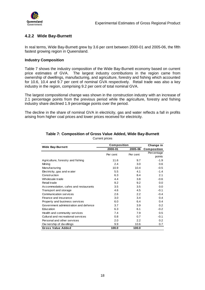<span id="page-23-0"></span>

# **4.2.2 Wide Bay-Burnett**

In real terms, Wide Bay-Burnett grew by 3.6 per cent between 2000-01 and 2005-06, the fifth fastest growing region in Queensland.

#### **Industry Composition**

Table 7 shows the industry composition of the Wide Bay-Burnett economy based on current price estimates of GVA. The largest industry contributions in the region came from ownership of dwellings, manufacturing, and agriculture, forestry and fishing which accounted for 10.6, 10.4 and 9.7 per cent of nominal GVA respectively. Retail trade was also a key industry in the region, comprising 9.2 per cent of total nominal GVA.

The largest compositional change was shown in the construction industry with an increase of 2.1 percentage points from the previous period while the agriculture, forestry and fishing industry share declined 1.9 percentage points over the period.

The decline in the share of nominal GVA in electricity, gas and water reflects a fall in profits arising from higher coal prices and lower prices received for electricity.

|                                       | <b>Composition</b> | Change in |               |
|---------------------------------------|--------------------|-----------|---------------|
| <b>Wide Bay-Burnett</b>               | 2000-01            | 2005-06   | Composition   |
|                                       | Per cent           | Per cent  | Percentage    |
|                                       |                    |           | points        |
| Agriculture, forestry and fishing     | 11.6               | 9.7       | $-1.9$        |
| Mining                                | 2.4                | 3.0       | 0.6           |
| Manufacturing                         | 10.9               | 10.4      | $-0.5$        |
| Electricity, gas and w ater           | 5.5                | 4.1       | $-1.4$        |
| Construction                          | 6.3                | 8.4       | 2.1           |
| Wholesale trade                       | 4.4                | 3.8       | $-0.6$        |
| Retail trade                          | 9.2                | 9.2       | 0.0           |
| Accommodation, cafes and restaurants  | 3.5                | 3.5       | 0.0           |
| Transport and storage                 | 4.6                | 4.5       | $-0.1$        |
| Communication services                | 2.6                | 2.2       | $-0.4$        |
| Finance and insurance                 | 3.0                | 3.4       | 0.4           |
| Property and business services        | 6.0                | 6.4       | 0.4           |
| Government administration and defence | 3.7                | 3.9       | 0.2           |
| Education                             | 6.3                | 6.1       | $-0.2$        |
| Health and community services         | 7.4                | 7.9       | 0.5           |
| Cultural and recreational services    | 0.8                | 0.7       | $-0.1$        |
| Personal and other services           | 2.0                | 2.2       | $0.2^{\circ}$ |
| Ow nership of dwellings               | 9.9                | 10.6      | 0.7           |
| <b>Gross Value Added</b>              | 100.0              | 100.0     |               |

#### **Table 7: Composition of Gross Value Added, Wide Bay-Burnett**  Current prices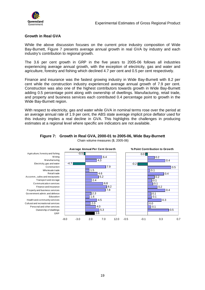<span id="page-24-0"></span>

### **Growth in Real GVA**

While the above discussion focuses on the current price industry composition of Wide Bay-Burnett, Figure 7 presents average annual growth in real GVA by industry and each industry's contribution to regional growth.

The 3.6 per cent growth in GRP in the five years to 2005-06 follows all industries experiencing average annual growth, with the exception of electricity, gas and water and agriculture, forestry and fishing which declined 4.7 per cent and 0.5 per cent respectively.

Finance and insurance was the fastest growing industry in Wide Bay-Burnett with 8.2 per cent while the construction industry experienced average annual growth of 7.9 per cent. Construction was also one of the highest contributors towards growth in Wide Bay-Burnett adding 0.5 percentage point along with ownership of dwellings. Manufacturing, retail trade, and property and business services each contributed 0.4 percentage point to growth in the Wide Bay-Burnett region.

With respect to electricity, gas and water while GVA in nominal terms rose over the period at an average annual rate of 1.9 per cent, the ABS state average implicit price deflator used for this industry implies a real decline in GVA. This highlights the challenges in producing estimates at a regional level where specific are indicators are not available.



#### **Figure 7: Growth in Real GVA, 2000-01 to 2005-06, Wide Bay-Burnett**  Chain volume measures (\$, 2005-06)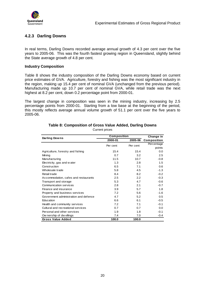<span id="page-25-0"></span>

# **4.2.3 Darling Downs**

In real terms, Darling Downs recorded average annual growth of 4.3 per cent over the five years to 2005-06. This was the fourth fastest growing region in Queensland, slightly behind the State average growth of 4.8 per cent.

#### **Industry Composition**

Table 8 shows the industry composition of the Darling Downs economy based on current price estimates of GVA. Agriculture, forestry and fishing was the most significant industry in the region, making up 15.4 per cent of nominal GVA (unchanged from the previous period). Manufacturing made up 10.7 per cent of nominal GVA, while retail trade was the next highest at 8.2 per cent, down 0.2 percentage point from 2000-01.

The largest change in composition was seen in the mining industry, increasing by 2.5 percentage points from 2000-01. Starting from a low base at the beginning of the period, this mostly reflects average annual volume growth of 51.1 per cent over the five years to 2005-06.

|                                       | Composition |          | Change in   |
|---------------------------------------|-------------|----------|-------------|
| Darling Downs                         | 2000-01     | 2005-06  | Composition |
|                                       | Per cent    | Per cent | Percentage  |
|                                       |             |          | points      |
| Agriculture, forestry and fishing     | 15.4        | 15.4     | 0.0         |
| Mining                                | 0.7         | 3.2      | 2.5         |
| Manufacturing                         | 11.5        | 10.7     | $-0.8$      |
| Electricity, gas and w ater           | 1.3         | 2.8      | 1.5         |
| Construction                          | 6.5         | 7.1      | 0.6         |
| Wholesale trade                       | 5.8         | 4.5      | $-1.3$      |
| Retail trade                          | 8.4         | 8.2      | $-0.2$      |
| Accommodation, cafes and restaurants  | 2.5         | 2.2      | $-0.3$      |
| Transport and storage                 | 5.3         | 4.7      | $-0.6$      |
| Communication services                | 2.8         | 2.1      | $-0.7$      |
| Finance and insurance                 | 3.9         | 5.7      | 1.8         |
| Property and business services        | 7.2         | 5.6      | $-1.6$      |
| Government administration and defence | 4.7         | 5.2      | 0.5         |
| Education                             | 6.6         | 6.1      | $-0.5$      |
| Health and community services         | 7.2         | 7.1      | $-0.1$      |
| Cultural and recreational services    | 0.7         | 0.7      | 0.0         |
| Personal and other services           | 1.9         | 1.8      | $-0.1$      |
| Ow nership of dw ellings              | 7.4         | 7.0      | $-0.4$      |
| <b>Gross Value Added</b>              | 100.0       | 100.0    |             |

## **Table 8: Composition of Gross Value Added, Darling Downs**

Current prices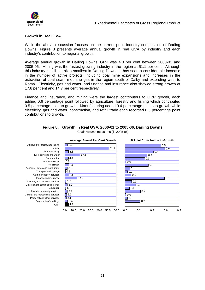<span id="page-26-0"></span>

### **Growth in Real GVA**

While the above discussion focuses on the current price industry composition of Darling Downs, Figure 8 presents average annual growth in real GVA by industry and each industry's contribution to regional growth.

Average annual growth in Darling Downs' GRP was 4.3 per cent between 2000-01 and 2005-06. Mining was the fastest growing industry in the region at 51.1 per cent. Although this industry is still the sixth smallest in Darling Downs, it has seen a considerable increase in the number of active projects, including coal mine expansions and increases in the extraction of coal seam methane gas in the region south of Dalby and extending west to Roma. Electricity, gas and water, and finance and insurance also showed strong growth at 17.8 per cent and 14.7 per cent respectively.

Finance and insurance, and mining were the largest contributors to GRP growth, each adding 0.6 percentage point followed by agriculture, forestry and fishing which contributed 0.5 percentage point to growth. Manufacturing added 0.4 percentage points to growth while electricity, gas and water, construction, and retail trade each recorded 0.3 percentage point contributions to growth.



#### **Figure 8: Growth in Real GVA, 2000-01 to 2005-06, Darling Downs**

Chain volume measures (\$, 2005-06)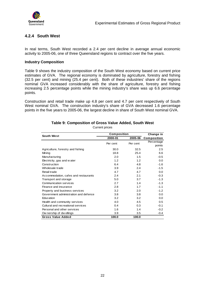<span id="page-27-0"></span>

# **4.2.4 South West**

In real terms, South West recorded a 2.4 per cent decline in average annual economic activity to 2005-06, one of three Queensland regions to contract over the five years.

#### **Industry Composition**

Table 9 shows the industry composition of the South West economy based on current price estimates of GVA. The regional economy is dominated by agriculture, forestry and fishing (32.5 per cent) and mining (25.4 per cent). Both of these industries' share of the regions nominal GVA increased considerably with the share of agriculture, forestry and fishing increasing 2.5 percentage points while the mining industry's share was up 6.6 percentage points.

Construction and retail trade make up 4.8 per cent and 4.7 per cent respectively of South West nominal GVA. The construction industry's share of GVA decreased 1.6 percentage points in the five years to 2005-06, the largest decline in share of South West nominal GVA.

|                                       | <b>Composition</b> |          | Change in   |
|---------------------------------------|--------------------|----------|-------------|
| <b>South West</b>                     | 2000-01            | 2005-06  | Composition |
|                                       | Per cent           | Per cent | Percentage  |
|                                       |                    |          | points      |
| Agriculture, forestry and fishing     | 30.0               | 32.5     | 2.5         |
| Mining                                | 18.8               | 25.4     | 6.6         |
| Manufacturing                         | 2.0                | 1.5      | $-0.5$      |
| Electricity, gas and w ater           | 1.2                | 1.2      | 0.0         |
| Construction                          | 6.4                | 4.8      | $-1.6$      |
| Wholesale trade                       | 3.9                | 2.4      | $-1.5$      |
| Retail trade                          | 4.7                | 4.7      | 0.0         |
| Accommodation, cafes and restaurants  | 2.4                | 2.1      | $-0.3$      |
| Transport and storage                 | 5.0                | 3.7      | $-1.3$      |
| Communication services                | 2.7                | 1.4      | $-1.3$      |
| Finance and insurance                 | 2.8                | 1.7      | $-1.1$      |
| Property and business services        | 3.2                | 2.0      | $-1.2$      |
| Government administration and defence | 3.8                | 3.8      | 0.0         |
| Education                             | 3.2                | 3.2      | 0.0         |
| Health and community services         | 4.0                | 4.5      | 0.5         |
| Cultural and recreational services    | 0.4                | 0.3      | $-0.1$      |
| Personal and other services           | 1.6                | 1.4      | $-0.2$      |
| Ow nership of dw ellings              | 3.9                | 3.5      | $-0.4$      |
| <b>Gross Value Added</b>              | 100.0              | 100.0    |             |

# **Table 9: Composition of Gross Value Added, South West**

Current prices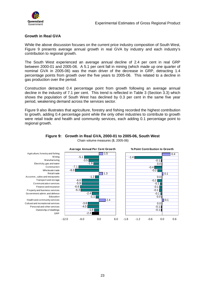<span id="page-28-0"></span>

## **Growth in Real GVA**

While the above discussion focuses on the current price industry composition of South West, Figure 9 presents average annual growth in real GVA by industry and each industry's contribution to regional growth.

The South West experienced an average annual decline of 2.4 per cent in real GRP between 2000-01 and 2005-06. A 5.1 per cent fall in mining (which made up one quarter of nominal GVA in 2005-06) was the main driver of the decrease in GRP, detracting 1.4 percentage points from growth over the five years to 2005-06. This related to a decline in gas production over the period.

Construction detracted 0.4 percentage point from growth following an average annual decline in the industry of 7.1 per cent. This trend is reflected in Table 3 (Section 3.3) which shows the population of South West has declined by 0.3 per cent in the same five year period, weakening demand across the services sector.

Figure 9 also illustrates that agriculture, forestry and fishing recorded the highest contribution to growth, adding 0.4 percentage point while the only other industries to contribute to growth were retail trade and health and community services, each adding 0.1 percentage point to regional growth.



#### **Figure 9: Growth in Real GVA, 2000-01 to 2005-06, South West**  Chain volume measures (\$, 2005-06)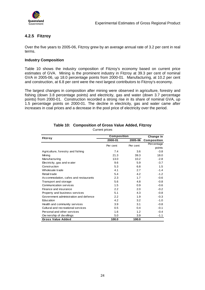<span id="page-29-0"></span>

# **4.2.5 Fitzroy**

Over the five years to 2005-06, Fitzroy grew by an average annual rate of 3.2 per cent in real terms.

#### **Industry Composition**

Table 10 shows the industry composition of Fitzroy's economy based on current price estimates of GVA. Mining is the prominent industry in Fitzroy at 39.3 per cent of nominal GVA in 2005-06, up 18.0 percentage points from 2000-01. Manufacturing, at 10.2 per cent and construction, at 6.8 per cent were the next largest contributors to Fitzroy's economy.

The largest changes in composition after mining were observed in agriculture, forestry and fishing (down 3.8 percentage points) and electricity, gas and water (down 3.7 percentage points) from 2000-01. Construction recorded a strong rise in its share of nominal GVA, up 1.5 percentage points on 2000-01. The decline in electricity, gas and water came after increases in coal prices and a decrease in the pool price of electricity over the period.

|                                       | <b>Composition</b> |          | Change in   |
|---------------------------------------|--------------------|----------|-------------|
| <b>Fitzroy</b>                        | 2000-01            | 2005-06  | Composition |
|                                       | Per cent           | Per cent | Percentage  |
|                                       |                    |          | points      |
| Agriculture, forestry and fishing     | 7.4                | 3.6      | $-3.8$      |
| Mining                                | 21.3               | 39.3     | 18.0        |
| Manufacturing                         | 13.0               | 10.2     | $-2.8$      |
| Electricity, gas and w ater           | 9.6                | 5.9      | $-3.7$      |
| Construction                          | 5.3                | 6.8      | 1.5         |
| Wholesale trade                       | 4.1                | 2.7      | $-1.4$      |
| Retail trade                          | 5.4                | 4.2      | $-1.2$      |
| Accommodation, cafes and restaurants  | 2.3                | 1.7      | $-0.6$      |
| Transport and storage                 | 5.6                | 4.8      | $-0.8$      |
| <b>Communication services</b>         | 1.5                | 0.9      | $-0.6$      |
| Finance and insurance                 | 2.2                | 2.0      | $-0.2$      |
| Property and business services        | 5.1                | 4.3      | $-0.8$      |
| Government administration and defence | 2.2                | 1.9      | $-0.3$      |
| Education                             | 4.2                | 3.2      | $-1.0$      |
| Health and community services         | 3.9                | 3.1      | $-0.8$      |
| Cultural and recreational services    | 0.5                | 0.4      | $-0.1$      |
| Personal and other services           | 1.6                | 1.2      | $-0.4$      |
| Ow nership of dw ellings              | 5.0                | 3.9      | $-1.1$      |
| <b>Gross Value Added</b>              | 100.0              | 100.0    |             |

# **Table 10: Composition of Gross Value Added, Fitzroy**

Current prices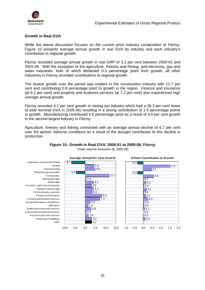<span id="page-30-0"></span>

## **Growth in Real GVA**

While the above discussion focuses on the current price industry composition of Fitzroy, Figure 10 presents average annual growth in real GVA by industry and each industry's contribution to regional growth.

Fitzroy recorded average annual growth in real GRP of 3.2 per cent between 2000-01 and 2005-06. With the exception of the agriculture, forestry and fishing, and electricity, gas and water industries, both of which detracted 0.3 percentage point from growth, all other industries in Fitzroy recorded contributions to regional growth.

The fastest growth over the period was evident in the construction industry with 11.7 per cent and contributing 0.6 percentage point to growth in the region. Finance and insurance (at 8.2 per cent) and property and business services (at 7.2 per cent) also experienced high average annual growth.

Fitzroy recorded 4.2 per cent growth in mining (an industry which had a 39.3 per cent share of total nominal GVA in 2005-06) resulting in a strong contribution of 1.5 percentage points to growth. Manufacturing contributed 0.5 percentage point as a result of 4.9 per cent growth in the second largest industry in Fitzroy

Agriculture, forestry and fishing contracted with an average annual decline of 6.7 per cent over the period. Adverse conditions as a result of the drought contributed to this decline in production.



#### **Figure 10: Growth in Real GVA, 2000-01 to 2005-06, Fitzroy**  Chain volume measures (\$, 2005-06)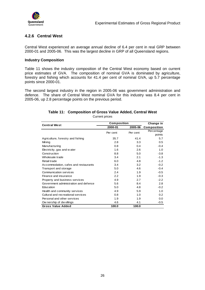<span id="page-31-0"></span>

# **4.2.6 Central West**

Central West experienced an average annual decline of 6.4 per cent in real GRP between 2000-01 and 2005-06. This was the largest decline in GRP of all Queensland regions.

#### **Industry Composition**

Table 11 shows the industry composition of the Central West economy based on current price estimates of GVA. The composition of nominal GVA is dominated by agriculture, forestry and fishing which accounts for 41.4 per cent of nominal GVA, up 5.7 percentage points since 2000-01.

The second largest industry in the region in 2005-06 was government administration and defence. The share of Central West nominal GVA for this industry was 8.4 per cent in 2005-06, up 2.8 percentage points on the previous period.

# **Table 11: Composition of Gross Value Added, Central West**

| <b>Central West</b>                   | Composition |          | Change in   |
|---------------------------------------|-------------|----------|-------------|
|                                       | 2000-01     | 2005-06  | Composition |
|                                       | Per cent    | Per cent | Percentage  |
|                                       |             |          | points      |
| Agriculture, forestry and fishing     | 35.7        | 41.4     | 5.7         |
| Mining                                | 2.8         | 3.3      | 0.5         |
| Manufacturing                         | 0.8         | 0.4      | $-0.4$      |
| Electricity, gas and water            | 1.6         | 2.6      | 1.0         |
| Construction                          | 8.8         | 5.0      | $-3.8$      |
| Wholesale trade                       | 3.4         | 2.1      | $-1.3$      |
| Retail trade                          | 6.0         | 4.8      | $-1.2$      |
| Accommodation, cafes and restaurants  | 3.4         | 3.2      | $-0.2$      |
| Transport and storage                 | 5.0         | 4.6      | $-0.4$      |
| Communication services                | 2.4         | 1.9      | $-0.5$      |
| Finance and insurance                 | 2.2         | 1.9      | $-0.3$      |
| Property and business services        | 4.9         | 2.7      | $-2.2$      |
| Government administration and defence | 5.6         | 8.4      | 2.8         |
| Education                             | 5.0         | 4.8      | $-0.2$      |
| Health and community services         | 4.9         | 5.9      | 1.0         |
| Cultural and recreational services    | 0.8         | 1.0      | 0.2         |
| Personal and other services           | 1.9         | 1.9      | 0.0         |
| Ow nership of dw ellings              | 4.6         | 4.1      | $-0.5$      |
| <b>Gross Value Added</b>              | 100.0       | 100.0    |             |

Current prices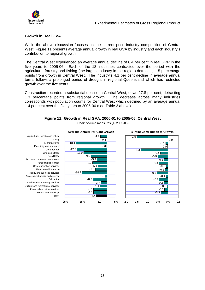<span id="page-32-0"></span>

## **Growth in Real GVA**

While the above discussion focuses on the current price industry composition of Central West, Figure 11 presents average annual growth in real GVA by industry and each industry's contribution to regional growth.

The Central West experienced an average annual decline of 6.4 per cent in real GRP in the five years to 2005-06. Each of the 18 industries contracted over the period with the agriculture, forestry and fishing (the largest industry in the region) detracting 1.5 percentage points from growth in Central West. The industry's 4.1 per cent decline in average annual terms follows a prolonged period of drought in regional Queensland which has restricted growth over the five years.

Construction recorded a substantial decline in Central West, down 17.8 per cent, detracting 1.3 percentage points from regional growth. The decrease across many industries corresponds with population counts for Central West which declined by an average annual 1.4 per cent over the five years to 2005-06 (see Table 3 above).



**Figure 11: Growth in Real GVA, 2000-01 to 2005-06, Central West**  Chain volume measures (\$, 2005-06)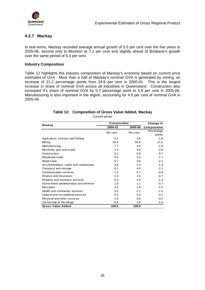<span id="page-33-0"></span>

# **4.2.7 Mackay**

In real terms, Mackay recorded average annual growth of 5.5 per cent over the five years to 2005-06, second only to Moreton at 7.2 per cent and slightly ahead of Brisbane's growth over the same period of 5.4 per cent.

#### **Industry Composition**

Table 12 highlights the industry composition of Mackay's economy based on current price estimates of GVA. More than a half of Mackay's nominal GVA is generated by mining, an increase of 21.2 percentage points from 34.6 per cent in 2000-01. This is the largest increase in share of nominal GVA across all industries in Queensland. Construction also increased it's share of nominal GVA by 0.7 percentage point to 5.8 per cent in 2005-06. Manufacturing is also important in the region, accounting for 4.8 per cent of nominal GVA in 2005-06.

# **Table 12: Composition of Gross Value Added, Mackay**

Current prices

| Mackay                                | Composition |          | Change in   |
|---------------------------------------|-------------|----------|-------------|
|                                       | 2000-01     | 2005-06  | Composition |
|                                       | Per cent    | Per cent | Percentage  |
|                                       |             |          | points      |
| Agriculture, forestry and fishing     | 5.4         | 3.6      | $-1.8$      |
| Mining                                | 34.6        | 55.8     | 21.2        |
| Manufacturing                         | 7.7         | 4.8      | $-2.9$      |
| Electricity, gas and water            | 1.4         | 0.8      | $-0.6$      |
| Construction                          | 5.1         | 5.8      | 0.7         |
| Wholesale trade                       | 5.0         | 3.3      | $-1.7$      |
| Retail trade                          | 5.7         | 3.6      | $-2.1$      |
| Accommodation, cafes and restaurants  | 3.6         | 2.3      | $-1.3$      |
| Transport and storage                 | 6.1         | 4.0      | $-2.1$      |
| Communication services                | 1.5         | 0.7      | $-0.8$      |
| Finance and insurance                 | 2.3         | 1.6      | $-0.7$      |
| Property and business services        | 5.3         | 3.9      | $-1.4$      |
| Government administration and defence | 1.8         | 1.1      | $-0.7$      |
| Education                             | 3.3         | 1.8      | $-1.5$      |
| Health and community services         | 3.5         | 2.1      | $-1.4$      |
| Cultural and recreational services    | 0.5         | 0.3      | $-0.2$      |
| Personal and other services           | 1.3         | 0.8      | $-0.5$      |
| Ow nership of Dw ellings              | 5.8         | 3.9      | -1.9        |
| <b>Gross Value Added</b>              | 100.0       | 100.0    |             |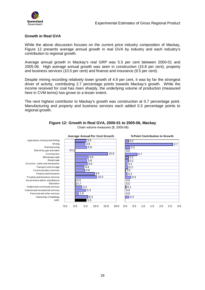<span id="page-34-0"></span>

### **Growth in Real GVA**

While the above discussion focuses on the current price industry composition of Mackay, Figure 12 presents average annual growth in real GVA by industry and each industry's contribution to regional growth.

Average annual growth in Mackay's real GRP was 5.5 per cent between 2000-01 and 2005-06. High average annual growth was seen in construction (15.8 per cent), property and business services (10.5 per cent) and finance and insurance (9.5 per cent).

Despite mining recording relatively lower growth of 4.9 per cent, it was by far the strongest driver of activity, contributing 2.7 percentage points towards Mackay's growth. While the income received for coal has risen sharply, the underlying volume of production (measured here in CVM terms) has grown to a lesser extent.

The next highest contributor to Mackay's growth was construction at 0.7 percentage point. Manufacturing and property and business services each added 0.3 percentage points to regional growth.



#### **Figure 12: Growth in Real GVA, 2000-01 to 2005-06, Mackay**

Chain volume measures (\$, 2005-06)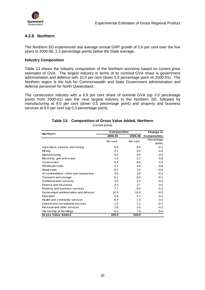<span id="page-35-0"></span>

# **4.2.8 Northern**

The Northern SD experienced real average annual GRP growth of 2.6 per cent over the five years to 2005-06, 2.2 percentage points below the State average.

#### **Industry Composition**

Table 13 shows the industry composition of the Northern economy based on current price estimates of GVA. The largest industry in terms of its nominal GVA share is government administration and defence with 10.0 per cent (down 0.5 percentage point on 2000-01). The Northern region is the hub for Commonwealth and State Government administration and defence personnel for North Queensland.

The construction industry with a 9.9 per cent share of nominal GVA (up 3.0 percentage points from 2000-01) was the next largest industry in the Northern SD, followed by manufacturing at 9.0 per cent (down 0.5 percentage point) and property and business services at 8.0 per cent (up 0.3 percentage point).

| <b>Northern</b>                       | Composition |          | Change in   |  |
|---------------------------------------|-------------|----------|-------------|--|
|                                       | 2000-01     | 2005-06  | Composition |  |
|                                       | Per cent    | Per cent | Percentage  |  |
|                                       |             |          | points      |  |
| Agriculture, forestry and fishing     | 6.8         | 6.6      | $-0.2$      |  |
| Mining                                | 4.1         | 3.5      | $-0.6$      |  |
| Manufacturing                         | 9.5         | 9.0      | $-0.5$      |  |
| Electricity, gas and water            | 1.4         | 2.2      | 0.8         |  |
| Construction                          | 6.9         | 9.9      | 3.0         |  |
| Wholesale trade                       | 4.7         | 3.9      | $-0.8$      |  |
| Retail trade                          | 8.2         | 7.6      | $-0.6$      |  |
| Accommodation, cafes and restaurants  | 3.0         | 2.6      | $-0.4$      |  |
| Transport and storage                 | 6.1         | 6.0      | $-0.1$      |  |
| Communication services                | 3.0         | 2.4      | $-0.6$      |  |
| Finance and insurance                 | 3.2         | 3.7      | 0.5         |  |
| Property and business services        | 7.7         | 8.0      | 0.3         |  |
| Government administration and defence | 10.5        | 10.0     | $-0.5$      |  |
| Education                             | 5.8         | 5.7      | $-0.1$      |  |
| Health and community services         | 6.9         | 7.3      | 0.4         |  |
| Cultural and recreational services    | 1.2         | 1.1      | $-0.1$      |  |
| Personal and other services           | 2.6         | 2.5      | $-0.1$      |  |
| Ow nership of dw ellings              | 8.3         | 7.9      | $-0.4$      |  |
| <b>Gross Value Added</b>              | 100.0       | 100.0    |             |  |

# **Table 13: Composition of Gross Value Added, Northern**

Current prices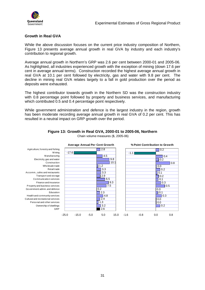<span id="page-36-0"></span>

## **Growth in Real GVA**

While the above discussion focuses on the current price industry composition of Northern, Figure 13 presents average annual growth in real GVA by industry and each industry's contribution to regional growth.

Average annual growth in Northern's GRP was 2.6 per cent between 2000-01 and 2005-06. As highlighted, all industries experienced growth with the exception of mining (down 17.6 per cent in average annual terms). Construction recorded the highest average annual growth in real GVA at 10.1 per cent followed by electricity, gas and water with 9.8 per cent. The decline in mining real GVA relates largely to a fall in gold production over the period as deposits were exhausted.

The highest contributor towards growth in the Northern SD was the construction industry with 0.8 percentage point followed by property and business services, and manufacturing which contributed 0.5 and 0.4 percentage point respectively.

While government administration and defence is the largest industry in the region, growth has been moderate recording average annual growth in real GVA of 0.2 per cent. This has resulted in a neutral impact on GRP growth over the period.



**Figure 13: Growth in Real GVA, 2000-01 to 2005-06, Northern**  Chain volume measures (\$, 2005-06)

Agriculture, forestry and fishing M ining **Manufacturing** Electricity, gas and water Construction Wholesale trade Retail trade Accomm., cafes and restaurants Transport and storage Communication services Finance and insurance Property and business services Government admin. and defence Education Health and community services Cultural and recreational services Personal and other services Ownership of dwellings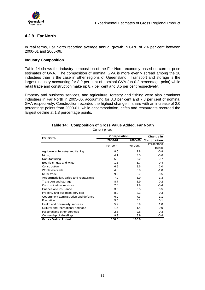<span id="page-37-0"></span>

# **4.2.9 Far North**

In real terms, Far North recorded average annual growth in GRP of 2.4 per cent between 2000-01 and 2005-06.

### **Industry Composition**

Table 14 shows the industry composition of the Far North economy based on current price estimates of GVA. The composition of nominal GVA is more evenly spread among the 18 industries than is the case in other regions of Queensland. Transport and storage is the largest industry accounting for 8.9 per cent of nominal GVA (up 0.2 percentage point) while retail trade and construction make up 8.7 per cent and 8.5 per cent respectively.

Property and business services, and agriculture, forestry and fishing were also prominent industries in Far North in 2005-06, accounting for 8.3 per cent and 7.8 per cent of nominal GVA respectively. Construction recorded the highest change in share with an increase of 2.0 percentage points from 2000-01, while accommodation, cafes and restaurants recorded the largest decline at 1.3 percentage points.

| <b>Far North</b>                      | <b>Composition</b> |          | Change in   |
|---------------------------------------|--------------------|----------|-------------|
|                                       | 2000-01            | 2005-06  | Composition |
|                                       | Per cent           | Per cent | Percentage  |
|                                       |                    |          | points      |
| Agriculture, forestry and fishing     | 8.6                | 7.8      | $-0.8$      |
| Mining                                | 4.1                | 3.5      | $-0.6$      |
| Manufacturing                         | 5.9                | 5.2      | $-0.7$      |
| Electricity, gas and w ater           | 1.3                | 1.7      | 0.4         |
| Construction                          | 6.5                | 8.5      | 2.0         |
| Wholesale trade                       | 4.8                | 3.8      | $-1.0$      |
| Retail trade                          | 9.2                | 8.7      | $-0.5$      |
| Accommodation, cafes and restaurants  | 7.2                | 5.9      | $-1.3$      |
| Transport and storage                 | 8.7                | 8.9      | 0.2         |
| <b>Communication services</b>         | 2.3                | 1.9      | $-0.4$      |
| Finance and insurance                 | 3.0                | 3.5      | 0.5         |
| Property and business services        | 8.0                | 8.3      | 0.3         |
| Government administration and defence | 6.2                | 7.3      | 1.1         |
| Education                             | 5.0                | 5.1      | 0.1         |
| Health and community services         | 5.9                | 6.9      | 1.0         |
| Cultural and recreational services    | 1.4                | 1.4      | 0.0         |
| Personal and other services           | 2.5                | 2.8      | 0.3         |
| Ow nership of dw ellings              | 9.3                | 8.9      | $-0.4$      |
| <b>Gross Value Added</b>              | 100.0              | 100.0    |             |

# **Table 14: Composition of Gross Value Added, Far North**

Current prices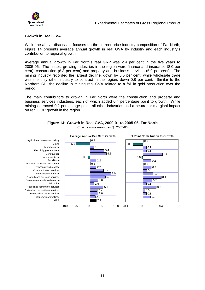<span id="page-38-0"></span>

### **Growth in Real GVA**

While the above discussion focuses on the current price industry composition of Far North, Figure 14 presents average annual growth in real GVA by industry and each industry's contribution to regional growth.

Average annual growth in Far North's real GRP was 2.4 per cent in the five years to 2005-06. The fastest growing industries in the region were finance and insurance (8.0 per cent), construction (6.3 per cent) and property and business services (5.9 per cent). The mining industry recorded the largest decline, down by 5.5 per cent, while wholesale trade was the only other industry to contract in the region, down 0.8 per cent. Similar to the Northern SD, the decline in mining real GVA related to a fall in gold production over the period.

The main contributors to growth in Far North were the construction and property and business services industries, each of which added 0.4 percentage point to growth. While mining detracted 0.2 percentage point, all other industries had a neutral or marginal impact on real GRP growth in the region.



# **Figure 14: Growth in Real GVA, 2000-01 to 2005-06, Far North**

Chain volume measures (\$, 2005-06)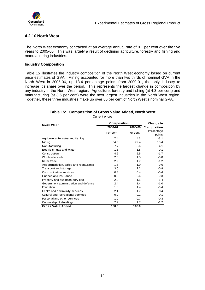<span id="page-39-0"></span>

# **4.2.10 North West**

The North West economy contracted at an average annual rate of 0.1 per cent over the five years to 2005-06. This was largely a result of declining agriculture, forestry and fishing and manufacturing industries.

#### **Industry Composition**

Table 15 illustrates the industry composition of the North West economy based on current price estimates of GVA. Mining accounted for more than two thirds of nominal GVA in the North West in 2005-06, up 18.4 percentage points from 2000-01, the only industry to increase it's share over the period. This represents the largest change in composition by any industry in the North West region. Agriculture, forestry and fishing (at 4.3 per cent) and manufacturing (at 3.6 per cent) were the next largest industries in the North West region. Together, these three industries make up over 80 per cent of North West's nominal GVA.

# **Table 15: Composition of Gross Value Added, North West**

Current prices

| <b>North West</b>                     | <b>Composition</b> |          | Change in   |
|---------------------------------------|--------------------|----------|-------------|
|                                       | 2000-01            | 2005-06  | Composition |
|                                       | Per cent           | Per cent | Percentage  |
|                                       |                    |          | points      |
| Agriculture, forestry and fishing     | 7.4                | 4.3      | $-3.1$      |
| Mining                                | 54.0               | 72.4     | 18.4        |
| Manufacturing                         | 7.7                | 3.6      | $-4.1$      |
| Electricity, gas and water            | 1.6                | 1.5      | $-0.1$      |
| Construction                          | 4.2                | 2.5      | $-1.7$      |
| Wholesale trade                       | 2.3                | 1.5      | $-0.8$      |
| Retail trade                          | 2.9                | 1.7      | $-1.2$      |
| Accommodation, cafes and restaurants  | 1.6                | 1.0      | $-0.6$      |
| Transport and storage                 | 3.0                | 2.2      | $-0.8$      |
| Communication services                | 0.8                | 0.4      | $-0.4$      |
| Finance and insurance                 | 0.9                | 0.6      | $-0.3$      |
| Property and business services        | 2.9                | 1.5      | $-1.4$      |
| Government administration and defence | 2.4                | 1.4      | $-1.0$      |
| Education                             | 1.8                | 1.4      | $-0.4$      |
| Health and community services         | 2.1                | 1.7      | $-0.4$      |
| Cultural and recreational services    | 0.2                | 0.1      | $-0.1$      |
| Personal and other services           | 1.0                | 0.7      | $-0.3$      |
| Ow nership of dwellings               | 2.9                | 1.7      | $-1.2$      |
| <b>Gross Value Added</b>              | 100.0              | 100.0    |             |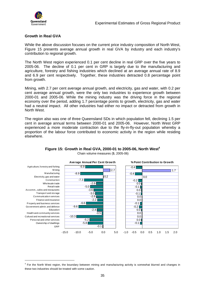<span id="page-40-0"></span>

 $\overline{a}$ 

## **Growth in Real GVA**

While the above discussion focuses on the current price industry composition of North West, Figure 15 presents average annual growth in real GVA by industry and each industry's contribution to regional growth.

The North West region experienced 0.1 per cent decline in real GRP over the five years to 2005-06. The decline of 0.1 per cent in GRP is largely due to the manufacturing and agriculture, forestry and fishing industries which declined at an average annual rate of 8.9 and 6.9 per cent respectively. Together, these industries detracted 0.8 percentage point from growth.

Mining, with 2.7 per cent average annual growth, and electricity, gas and water, with 0.2 per cent average annual growth, were the only two industries to experience growth between 2000-01 and 2005-06. While the mining industry was the driving force in the regional economy over the period, adding 1.7 percentage points to growth, electricity, gas and water had a neutral impact. All other industries had either no impact or detracted from growth in North West.

The region also was one of three Queensland SDs in which population fell, declining 1.5 per cent in average annual terms between 2000-01 and 2005-06. However, North West GRP experienced a more moderate contraction due to the fly-in-fly-out population whereby a proportion of the labour force contributed to economic activity in the region while residing elsewhere.



# **Figure 15: Growth in Real GVA, 2000-01 to 2005-06, North West<sup>4</sup>**

Chain volume measures (\$, 2005-06)

<sup>&</sup>lt;sup>4</sup> For the North West region, the boundary between mining and manufacturing activity is somewhat blurred and changes in these two industries should be treated with some caution.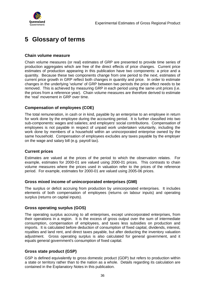<span id="page-41-0"></span>

# **5 Glossary of terms**

### **Chain volume measure**

Chain volume measures (or real) estimates of GRP are presented to provide time series of production aggregates which are free of the direct effects of price changes. Current price estimates of production appearing in this publication have two components: a price and a quantity. Because these two components change from one period to the next, estimates of current price growth in GRP reflect both changes in quantity and price. In order to estimate changes in the underlying 'volume' of GRP between two periods the price effect needs to be removed. This is achieved by measuring GRP in each period using the same unit prices (i.e. the prices from a reference year). Chain volume measures are therefore derived to estimate the 'real' movement in GRP over time.

## **Compensation of employees (COE)**

The total remuneration, in cash or in kind, payable by an enterprise to an employee in return for work done by the employee during the accounting period. It is further classified into two sub-components: wages and salaries; and employers' social contributions. Compensation of employees is not payable in respect of unpaid work undertaken voluntarily, including the work done by members of a household within an unincorporated enterprise owned by the same household. Compensation of employees excludes any taxes payable by the employer on the wage and salary bill (e.g. payroll tax).

## **Current prices**

Estimates are valued at the prices of the period to which the observation relates. For example, estimates for 2000-01 are valued using 2000-01 prices. This contrasts to chain volume measures where the prices used in valuation refer to the prices of the reference period. For example, estimates for 2000-01 are valued using 2005-06 prices.

#### **Gross mixed income of unincorporated enterprises (GMI)**

The surplus or deficit accruing from production by unincorporated enterprises. It includes elements of both compensation of employees (returns on labour inputs) and operating surplus (returns on capital inputs).

#### **Gross operating surplus (GOS)**

The operating surplus accruing to all enterprises, except unincorporated enterprises, from their operations in a region. It is the excess of gross output over the sum of intermediate consumption, compensation of employees, and taxes less subsidies on production and imports. It is calculated before deduction of consumption of fixed capital, dividends, interest, royalties and land rent, and direct taxes payable, but after deducting the inventory valuation adjustment. Gross operating surplus is also calculated for general government, and it equals general government's consumption of fixed capital.

## **Gross state product (GSP)**

GSP is defined equivalently to gross domestic product (GDP) but refers to production within a state or territory rather than to the nation as a whole. Details regarding its calculation are contained in the Explanatory Notes in this publication.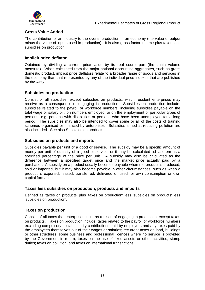

# **Gross Value Added**

The contribution of an industry to the overall production in an economy (the value of output minus the value of inputs used in production). It is also gross factor income plus taxes less subsidies on production.

### **Implicit price deflator**

Obtained by dividing a current price value by its real counterpart (the chain volume measure). When calculated from the major national accounting aggregates, such as gross domestic product, implicit price deflators relate to a broader range of goods and services in the economy than that represented by any of the individual price indexes that are published by the ABS.

## **Subsidies on production**

Consist of all subsidies, except subsidies on products, which resident enterprises may receive as a consequence of engaging in production. Subsidies on production include: subsidies related to the payroll or workforce numbers, including subsidies payable on the total wage or salary bill, on numbers employed, or on the employment of particular types of persons, e.g. persons with disabilities or persons who have been unemployed for a long period. The subsidies may also be intended to cover some or all of the costs of training schemes organised or financed by enterprises. Subsidies aimed at reducing pollution are also included. See also Subsidies on products.

### **Subsidies on products and imports**

Subsidies payable per unit of a good or service. The subsidy may be a specific amount of money per unit of quantity of a good or service, or it may be calculated ad valorem as a specified percentage of the price per unit. A subsidy may also be calculated as the difference between a specified target price and the market price actually paid by a purchaser. A subsidy on a product usually becomes payable when the product is produced, sold or imported, but it may also become payable in other circumstances, such as when a product is exported, leased, transferred, delivered or used for own consumption or own capital formation.

#### **Taxes less subsidies on production, products and imports**

Defined as 'taxes on products' plus 'taxes on production' less 'subsidies on products' less 'subsidies on production'.

## **Taxes on production**

Consist of all taxes that enterprises incur as a result of engaging in production, except taxes on products. Taxes on production include: taxes related to the payroll or workforce numbers excluding compulsory social security contributions paid by employers and any taxes paid by the employees themselves out of their wages or salaries; recurrent taxes on land, buildings or other structures; some business and professional licences where no service is provided by the Government in return; taxes on the use of fixed assets or other activities; stamp duties; taxes on pollution; and taxes on international transactions.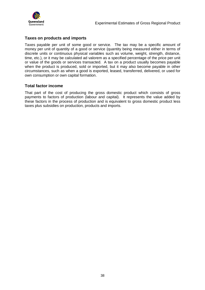

## **Taxes on products and imports**

Taxes payable per unit of some good or service. The tax may be a specific amount of money per unit of quantity of a good or service (quantity being measured either in terms of discrete units or continuous physical variables such as volume, weight, strength, distance, time, etc.), or it may be calculated ad valorem as a specified percentage of the price per unit or value of the goods or services transacted. A tax on a product usually becomes payable when the product is produced, sold or imported, but it may also become payable in other circumstances, such as when a good is exported, leased, transferred, delivered, or used for own consumption or own capital formation.

### **Total factor income**

That part of the cost of producing the gross domestic product which consists of gross payments to factors of production (labour and capital). It represents the value added by these factors in the process of production and is equivalent to gross domestic product less taxes plus subsidies on production, products and imports.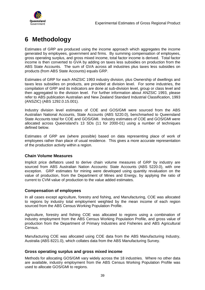<span id="page-44-0"></span>

# **6 Methodology**

Estimates of GRP are produced using the income approach which aggregates the income generated by employees, government and firms. By summing compensation of employees, gross operating surplus, and gross mixed income, total factor income is derived. Total factor income is then converted to GVA by adding on taxes less subsidies on production from the ABS State Accounts. The sum of GVA across all industries plus taxes less subsidies on products (from ABS State Accounts) equals GRP.

Estimates of GRP for each ANZSIC 1993 industry division, plus Ownership of dwellings and taxes less subsidies on products, are provided at division level. For some industries, the compilation of GRP and its indicators are done at sub-division level, group or class level and then aggregated to the division level. For further information about ANZSIC 1993, please refer to ABS publication Australian and New Zealand Standard Industrial Classification, 1993 (ANSZIC) (ABS 1292.0.15.001).

Industry division level estimates of COE and GOS/GMI were sourced from the ABS Australian National Accounts, State Accounts (ABS 5220.0), benchmarked to Queensland State Accounts total for COE and GOS/GMI. Industry estimates of COE and GOS/GMI were allocated across Queensland's 13 SDs (11 for 2000-01) using a number of techniques defined below.

Estimates of GRP are (where possible) based on data representing place of work of employees rather than place of usual residence. This gives a more accurate representation of the production activity within a region.

## **Chain Volume Measures**

Implicit price deflators used to derive chain volume measures of GRP by industry are sourced from ABS Australian Nation Accounts: State Accounts (ABS 5220.0), with one exception. GRP estimates for mining were developed using quantity revaluation on the value of production, from the Department of Mines and Energy, by applying the ratio of current to CVM value of production to the value added estimates.

#### **Compensation of employees**

In all cases except agriculture, forestry and fishing, and Manufacturing, COE was allocated to regions by industry total employment weighted by the mean income of each region sourced from the ABS Census Working Population Profile.

Agriculture, forestry and fishing COE was allocated to regions using a combination of industry employment from the ABS Census Working Population Profile, and gross value of production from the Department of Primary Industries and Fisheries and ABS Agricultural Census.

Manufacturing COE was allocated using COE data from the ABS Manufacturing Industry, Australia (ABS 8221.0), which collates data from the ABS Manufacturing Survey.

#### **Gross operating surplus and gross mixed income**

Methods for allocating GOS/GMI vary widely across the 18 industries. Where no other data are available, industry employment from the ABS Census Working Population Profile was used to allocate GOS/GMI to regions.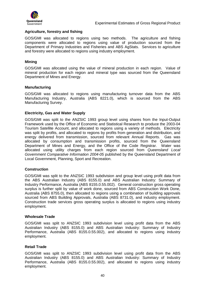

#### **Agriculture, forestry and fishing**

GOS/GMI was allocated to regions using two methods. The agriculture and fishing components were allocated to regions using value of production sourced from the Department of Primary Industries and Fisheries and ABS AgStats. Services to agriculture and forestry were allocated to regions using industry employment.

#### **Mining**

GOS/GMI was allocated using the value of mineral production in each region. Value of mineral production for each region and mineral type was sourced from the Queensland Department of Mines and Energy.

#### **Manufacturing**

GOS/GMI was allocated to regions using manufacturing turnover data from the ABS Manufacturing Industry, Australia (ABS 8221.0), which is sourced from the ABS Manufacturing Survey.

#### **Electricity, Gas and Water Supply**

GOS/GMI was split to the ANZSIC 1993 group level using shares from the Input-Output Framework used by the Office of Economic and Statistical Research to produce the 2003-04 Tourism Satellite Account, and allocated to regions using a variety of methods. Electricity was split by profits, and allocated to regions by profits from generation and distribution, and energy delivered from transmission, sourced from relevant Annual Reports. Gas was allocated by consumption and transmission profits, sourced from the Queensland Department of Mines and Energy, and the Office of the Code Registrar. Water was allocated using utility charges from each region sourced from Queensland Local Government Comparative Information 2004-05 published by the Queensland Department of Local Government, Planning, Sport and Recreation.

#### **Construction**

GOS/GMI was split to the ANZSIC 1993 subdivision and group level using profit data from the ABS Australian Industry (ABS 8155.0) and ABS Australian Industry: Summary of Industry Performance, Australia (ABS 8155.0.55.002). General construction gross operating surplus is further split by value of work done, sourced from ABS Construction Work Done, Australia (ABS 8755.0), then allocated to regions using a combination of building approvals sourced from ABS Building Approvals, Australia (ABS 8731.0), and industry employment. Construction trade services gross operating surplus is allocated to regions using industry employment.

#### **Wholesale Trade**

GOS/GMI was split to ANZSIC 1993 subdivision level using profit data from the ABS Australian Industry (ABS 8155.0) and ABS Australian Industry: Summary of Industry Performance, Australia (ABS 8155.0.55.002), and allocated to regions using industry employment.

#### **Retail Trade**

GOS/GMI was split to ANZSIC 1993 subdivision level using profit data from the ABS Australian Industry (ABS 8155.0) and ABS Australian Industry: Summary of Industry Performance, Australia (ABS 8155.0.55.002), and allocated to regions using industry employment.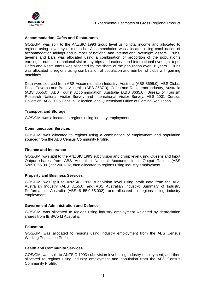

#### **Accommodation, Cafes and Restaurants**

GOS/GMI was split to the ANZSIC 1993 group level using total income and allocated to regions using a variety of methods. Accommodation was allocated using combination of accommodation takings and number of national and international overnight visitors. Pubs, taverns and Bars was allocated using a combination of proportion of the population's earnings , number of national visitor day trips and national and international overnight trips. Cafes and Restaurants was allocated by the share of the population over 18 years. Clubs was allocated to regions using combination of population and number of clubs with gaming machines.

Data were sourced from ABS Accommodation Industry, Australia (ABS 8695.0), ABS Clubs, Pubs, Taverns and Bars, Australia (ABS 8687.0), Cafes and Restaurant Industry, Australia (ABS 8655.0), ABS Tourist Accommodation, Australia (ABS 8635.0), Bureau of Tourism Research National Visitor Survey and International Visitor Survey, ABS 2001 Census Collection, ABS 2006 Census Collection, and Queensland Office of Gaming Regulation.

#### **Transport and Storage**

GOS/GMI was allocated to regions using industry employment.

#### **Communication Services**

GOS/GMI was allocated to regions using a combination of employment and population sourced from the ABS Census Community Profile.

#### **Finance and Insurance**

GOS/GMI was split to the ANZSIC 1993 subdivision and group level using Queensland Input Output shares from ABS Australian National Accounts: Input Output Tables (ABS 5209.0.55.001) for 2001-02, then allocated to regions using industry employment.

#### **Property and Business Services**

GOS/GMI was split to ANZSIC 1993 subdivision level using profit data from the ABS Australian Industry (ABS 8155.0) and ABS Australian Industry: Summary of Industry Performance, Australia (ABS 8155.0.55.002), and allocated to regions using industry employment.

#### **Government Administration and Defence**

GOS/GMI was allocated to regions using industry employment weighted by depreciation shares from IBISWorld Australia.

#### **Education**

GOS/GMI was allocated to regions using industry employment from the ABS Census Working Population Profile.

#### **Health and Community Services**

GOS/GMI was split to ANZSIC 1993 subdivision level using industry employment, and then allocated to regions using industry employment and population from the ABS Census Community Profile.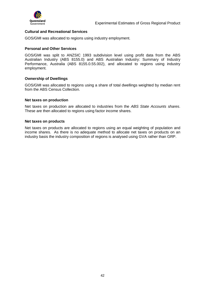

#### **Cultural and Recreational Services**

GOS/GMI was allocated to regions using industry employment.

#### **Personal and Other Services**

GOS/GMI was split to ANZSIC 1993 subdivision level using profit data from the ABS Australian Industry (ABS 8155.0) and ABS Australian Industry: Summary of Industry Performance, Australia (ABS 8155.0.55.002), and allocated to regions using industry employment.

#### **Ownership of Dwellings**

GOS/GMI was allocated to regions using a share of total dwellings weighted by median rent from the ABS Census Collection.

#### **Net taxes on production**

Net taxes on production are allocated to industries from the ABS State Accounts shares. These are then allocated to regions using factor income shares.

#### **Net taxes on products**

Net taxes on products are allocated to regions using an equal weighting of population and income shares. As there is no adequate method to allocate net taxes on products on an industry basis the industry composition of regions is analysed using GVA rather than GRP.